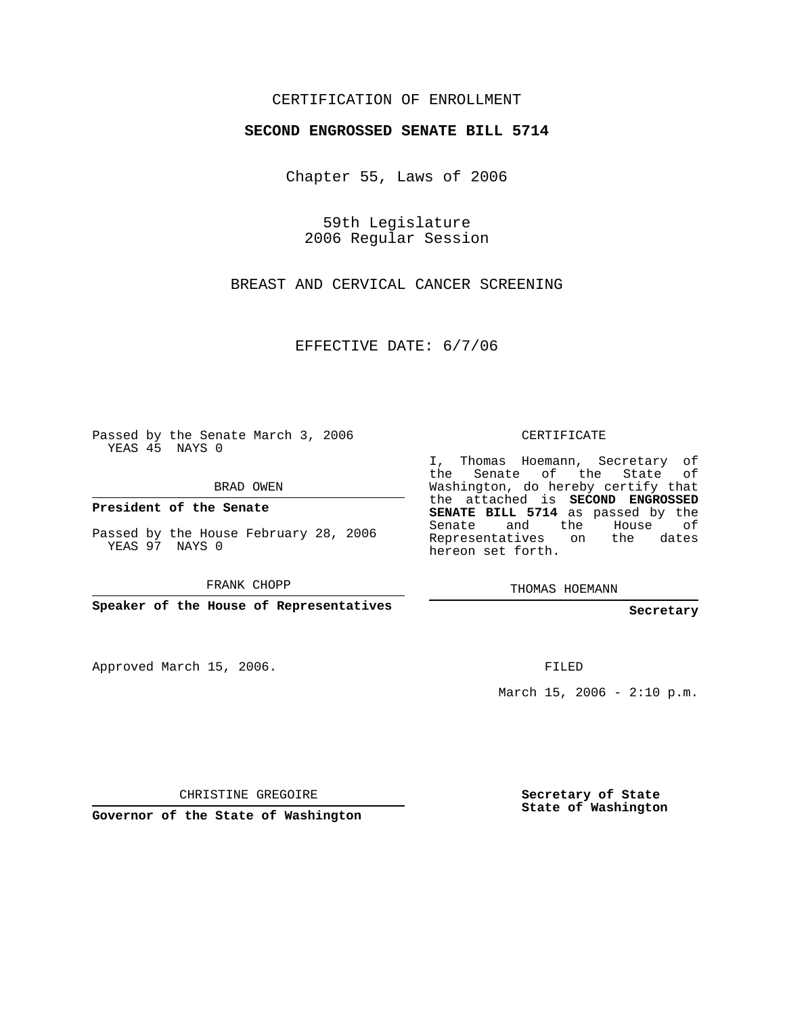## CERTIFICATION OF ENROLLMENT

## **SECOND ENGROSSED SENATE BILL 5714**

Chapter 55, Laws of 2006

59th Legislature 2006 Regular Session

BREAST AND CERVICAL CANCER SCREENING

EFFECTIVE DATE: 6/7/06

Passed by the Senate March 3, 2006 YEAS 45 NAYS 0

BRAD OWEN

**President of the Senate**

Passed by the House February 28, 2006 YEAS 97 NAYS 0

FRANK CHOPP

**Speaker of the House of Representatives**

Approved March 15, 2006.

CERTIFICATE

I, Thomas Hoemann, Secretary of the Senate of the State of Washington, do hereby certify that the attached is **SECOND ENGROSSED SENATE BILL 5714** as passed by the Senate and the House of Representatives on the dates hereon set forth.

THOMAS HOEMANN

**Secretary**

FILED

March 15, 2006 -  $2:10 \text{ p.m.}$ 

CHRISTINE GREGOIRE

**Governor of the State of Washington**

**Secretary of State State of Washington**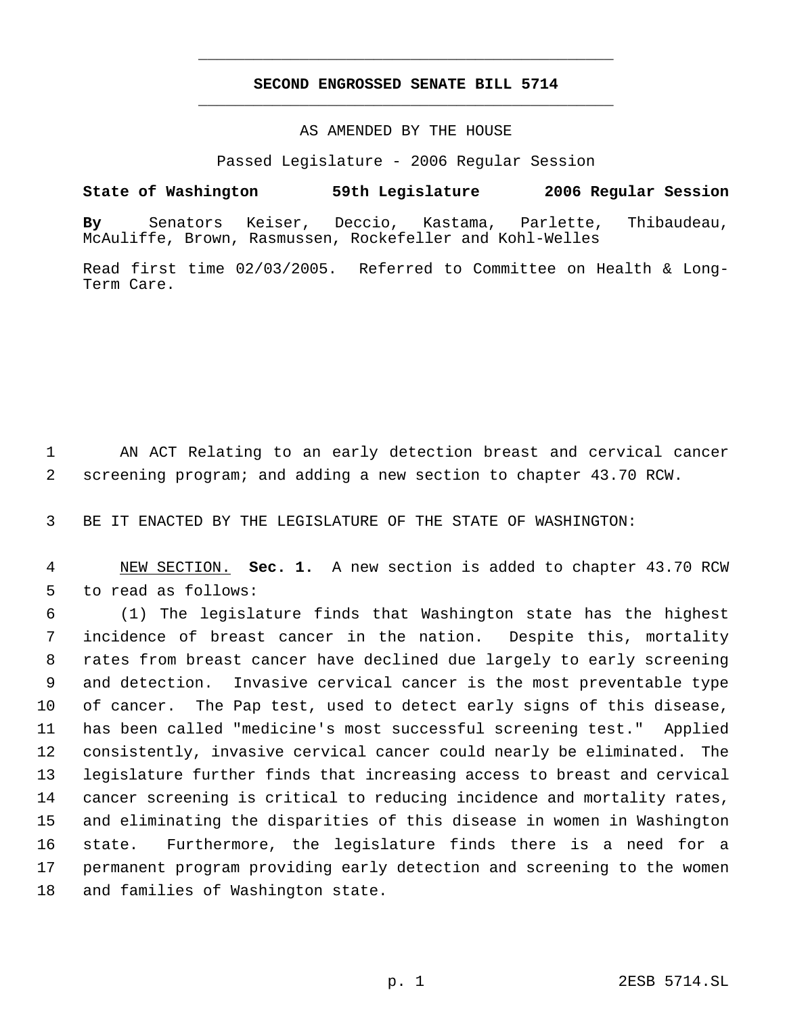## **SECOND ENGROSSED SENATE BILL 5714** \_\_\_\_\_\_\_\_\_\_\_\_\_\_\_\_\_\_\_\_\_\_\_\_\_\_\_\_\_\_\_\_\_\_\_\_\_\_\_\_\_\_\_\_\_

\_\_\_\_\_\_\_\_\_\_\_\_\_\_\_\_\_\_\_\_\_\_\_\_\_\_\_\_\_\_\_\_\_\_\_\_\_\_\_\_\_\_\_\_\_

## AS AMENDED BY THE HOUSE

Passed Legislature - 2006 Regular Session

**State of Washington 59th Legislature 2006 Regular Session By** Senators Keiser, Deccio, Kastama, Parlette, Thibaudeau, McAuliffe, Brown, Rasmussen, Rockefeller and Kohl-Welles

Read first time 02/03/2005. Referred to Committee on Health & Long-Term Care.

 AN ACT Relating to an early detection breast and cervical cancer screening program; and adding a new section to chapter 43.70 RCW.

BE IT ENACTED BY THE LEGISLATURE OF THE STATE OF WASHINGTON:

 NEW SECTION. **Sec. 1.** A new section is added to chapter 43.70 RCW to read as follows:

 (1) The legislature finds that Washington state has the highest incidence of breast cancer in the nation. Despite this, mortality rates from breast cancer have declined due largely to early screening and detection. Invasive cervical cancer is the most preventable type of cancer. The Pap test, used to detect early signs of this disease, has been called "medicine's most successful screening test." Applied consistently, invasive cervical cancer could nearly be eliminated. The legislature further finds that increasing access to breast and cervical cancer screening is critical to reducing incidence and mortality rates, and eliminating the disparities of this disease in women in Washington state. Furthermore, the legislature finds there is a need for a permanent program providing early detection and screening to the women and families of Washington state.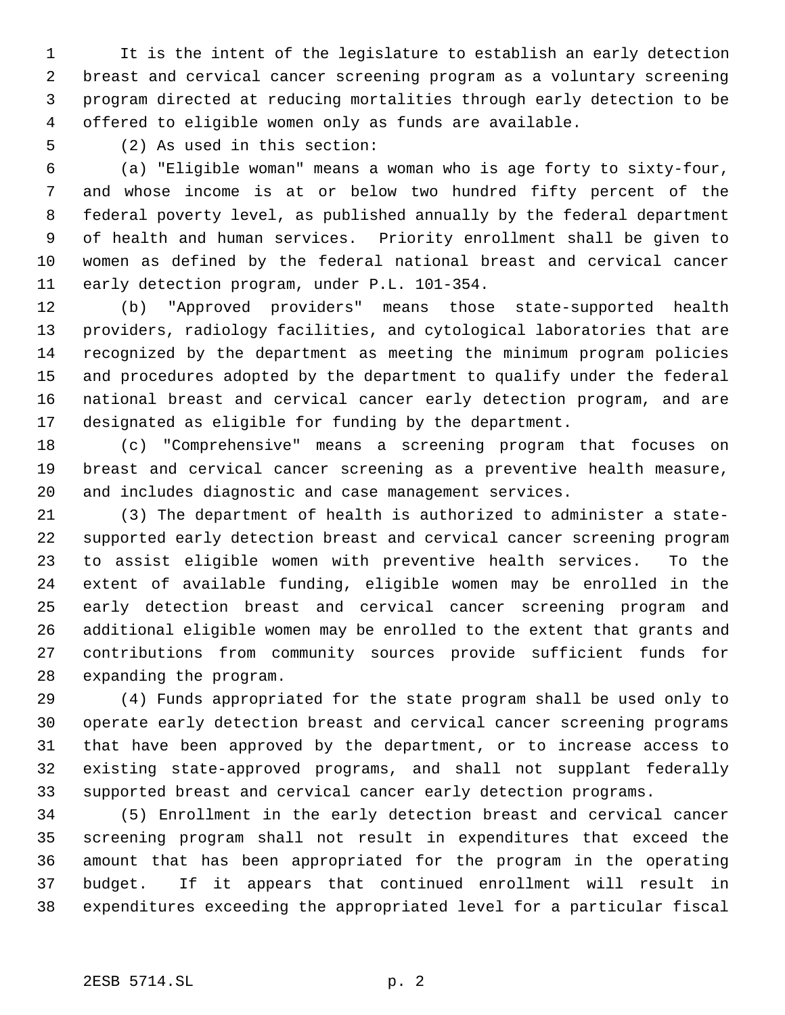It is the intent of the legislature to establish an early detection breast and cervical cancer screening program as a voluntary screening program directed at reducing mortalities through early detection to be offered to eligible women only as funds are available.

(2) As used in this section:

 (a) "Eligible woman" means a woman who is age forty to sixty-four, and whose income is at or below two hundred fifty percent of the federal poverty level, as published annually by the federal department of health and human services. Priority enrollment shall be given to women as defined by the federal national breast and cervical cancer early detection program, under P.L. 101-354.

 (b) "Approved providers" means those state-supported health providers, radiology facilities, and cytological laboratories that are recognized by the department as meeting the minimum program policies and procedures adopted by the department to qualify under the federal national breast and cervical cancer early detection program, and are designated as eligible for funding by the department.

 (c) "Comprehensive" means a screening program that focuses on breast and cervical cancer screening as a preventive health measure, and includes diagnostic and case management services.

 (3) The department of health is authorized to administer a state- supported early detection breast and cervical cancer screening program to assist eligible women with preventive health services. To the extent of available funding, eligible women may be enrolled in the early detection breast and cervical cancer screening program and additional eligible women may be enrolled to the extent that grants and contributions from community sources provide sufficient funds for expanding the program.

 (4) Funds appropriated for the state program shall be used only to operate early detection breast and cervical cancer screening programs that have been approved by the department, or to increase access to existing state-approved programs, and shall not supplant federally supported breast and cervical cancer early detection programs.

 (5) Enrollment in the early detection breast and cervical cancer screening program shall not result in expenditures that exceed the amount that has been appropriated for the program in the operating budget. If it appears that continued enrollment will result in expenditures exceeding the appropriated level for a particular fiscal